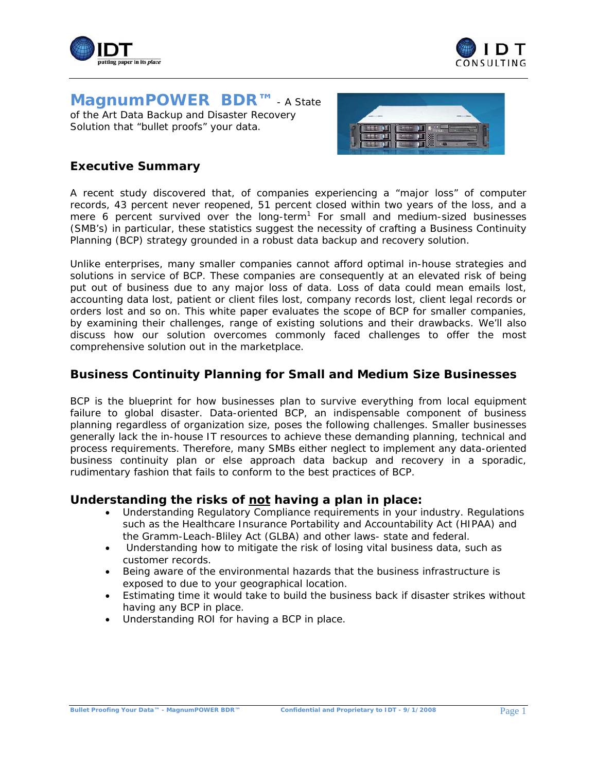



**Magnum***POWER* **BDR™** - A State of the Art Data Backup and Disaster Recovery Solution that "bullet proofs" your data.



# **Executive Summary**

A recent study discovered that, of companies experiencing a "major loss" of computer records, 43 percent never reopened, 51 percent closed within two years of the loss, and a mere 6 percent survived over the long-term<sup>1</sup> For small and medium-sized businesses (SMB's) in particular, these statistics suggest the necessity of crafting a Business Continuity Planning (BCP) strategy grounded in a robust data backup and recovery solution.

Unlike enterprises, many smaller companies cannot afford optimal in-house strategies and solutions in service of BCP. These companies are consequently at an elevated risk of being put out of business due to any major loss of data. Loss of data could mean emails lost, accounting data lost, patient or client files lost, company records lost, client legal records or orders lost and so on. This white paper evaluates the scope of BCP for smaller companies, by examining their challenges, range of existing solutions and their drawbacks. We'll also discuss how our solution overcomes commonly faced challenges to offer the most comprehensive solution out in the marketplace.

# **Business Continuity Planning for Small and Medium Size Businesses**

BCP is the blueprint for how businesses plan to survive everything from local equipment failure to global disaster. Data-oriented BCP, an indispensable component of business planning regardless of organization size, poses the following challenges. Smaller businesses generally lack the in-house IT resources to achieve these demanding planning, technical and process requirements. Therefore, many SMBs either neglect to implement any data-oriented business continuity plan or else approach data backup and recovery in a sporadic, rudimentary fashion that fails to conform to the best practices of BCP.

### **Understanding the risks of** *not* **having a plan in place:**

- Understanding Regulatory Compliance requirements in your industry. Regulations such as the Healthcare Insurance Portability and Accountability Act (HIPAA) and the Gramm-Leach-Bliley Act (GLBA) and other laws- state and federal.
- Understanding how to mitigate the risk of losing vital business data, such as customer records.
- Being aware of the environmental hazards that the business infrastructure is exposed to due to your geographical location.
- Estimating time it would take to build the business back if disaster strikes without having any BCP in place.
- Understanding ROI for having a BCP in place.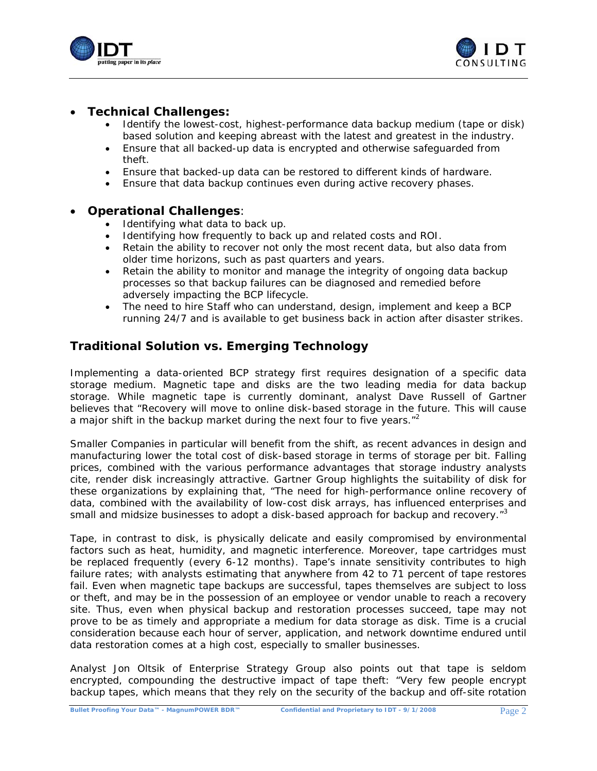



## • **Technical Challenges:**

- Identify the lowest-cost, highest-performance data backup medium (tape or disk) based solution and keeping abreast with the latest and greatest in the industry.
- Ensure that all backed-up data is encrypted and otherwise safeguarded from theft.
- Ensure that backed-up data can be restored to different kinds of hardware.
- Ensure that data backup continues even during active recovery phases.

#### • **Operational Challenges**:

- Identifying what data to back up.
- Identifying how frequently to back up and related costs and ROI.
- Retain the ability to recover not only the most recent data, but also data from older time horizons, such as past quarters and years.
- Retain the ability to monitor and manage the integrity of ongoing data backup processes so that backup failures can be diagnosed and remedied before adversely impacting the BCP lifecycle.
- The need to hire Staff who can understand, design, implement and keep a BCP running 24/7 and is available to get business back in action after disaster strikes.

# **Traditional Solution vs. Emerging Technology**

Implementing a data-oriented BCP strategy first requires designation of a specific data storage medium. Magnetic tape and disks are the two leading media for data backup storage. While magnetic tape is currently dominant, analyst Dave Russell of Gartner believes that "Recovery will move to online disk-based storage in the future. This will cause a major shift in the backup market during the next four to five years. $12^2$ 

Smaller Companies in particular will benefit from the shift, as recent advances in design and manufacturing lower the total cost of disk-based storage in terms of storage per bit. Falling prices, combined with the various performance advantages that storage industry analysts cite, render disk increasingly attractive. Gartner Group highlights the suitability of disk for these organizations by explaining that, "The need for high-performance online recovery of data, combined with the availability of low-cost disk arrays, has influenced enterprises and small and midsize businesses to adopt a disk-based approach for backup and recovery.<sup>"3</sup>

Tape, in contrast to disk, is physically delicate and easily compromised by environmental factors such as heat, humidity, and magnetic interference. Moreover, tape cartridges must be replaced frequently (every 6-12 months). Tape's innate sensitivity contributes to high failure rates; with analysts estimating that anywhere from 42 to 71 percent of tape restores fail. Even when magnetic tape backups are successful, tapes themselves are subject to loss or theft, and may be in the possession of an employee or vendor unable to reach a recovery site. Thus, even when physical backup and restoration processes succeed, tape may not prove to be as timely and appropriate a medium for data storage as disk. Time is a crucial consideration because each hour of server, application, and network downtime endured until data restoration comes at a high cost, especially to smaller businesses.

Analyst Jon Oltsik of Enterprise Strategy Group also points out that tape is seldom encrypted, compounding the destructive impact of tape theft: "Very few people encrypt backup tapes, which means that they rely on the security of the backup and off-site rotation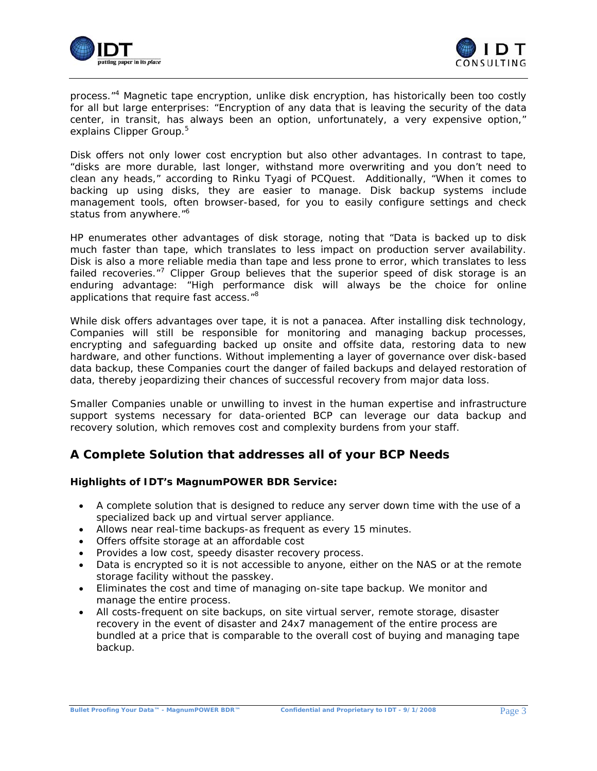



process."<sup>4</sup> Magnetic tape encryption, unlike disk encryption, has historically been too costly for all but large enterprises: "Encryption of any data that is leaving the security of the data center, in transit, has always been an option, unfortunately, a very expensive option," explains Clipper Group.<sup>5</sup>

Disk offers not only lower cost encryption but also other advantages. In contrast to tape, "disks are more durable, last longer, withstand more overwriting and you don't need to clean any heads," according to Rinku Tyagi of PCQuest. Additionally, "When it comes to backing up using disks, they are easier to manage. Disk backup systems include management tools, often browser-based, for you to easily configure settings and check status from anywhere."<sup>6</sup>

HP enumerates other advantages of disk storage, noting that "Data is backed up to disk much faster than tape, which translates to less impact on production server availability. Disk is also a more reliable media than tape and less prone to error, which translates to less failed recoveries.<sup>"7</sup> Clipper Group believes that the superior speed of disk storage is an enduring advantage: "High performance disk will always be the choice for online applications that require fast access."<sup>8</sup>

While disk offers advantages over tape, it is not a panacea. After installing disk technology, Companies will still be responsible for monitoring and managing backup processes, encrypting and safeguarding backed up onsite and offsite data, restoring data to new hardware, and other functions. Without implementing a layer of governance over disk-based data backup, these Companies court the danger of failed backups and delayed restoration of data, thereby jeopardizing their chances of successful recovery from major data loss.

Smaller Companies unable or unwilling to invest in the human expertise and infrastructure support systems necessary for data-oriented BCP can leverage our data backup and recovery solution, which removes cost and complexity burdens from your staff.

# **A Complete Solution that addresses all of your BCP Needs**

#### **Highlights of IDT's Magnum***POWER* **BDR Service:**

- A complete solution that is designed to reduce any server down time with the use of a specialized back up and virtual server appliance.
- Allows near real-time backups-as frequent as every 15 minutes.
- Offers offsite storage at an affordable cost
- Provides a low cost, speedy disaster recovery process.
- Data is encrypted so it is not accessible to anyone, either on the NAS or at the remote storage facility without the passkey.
- Eliminates the cost and time of managing on-site tape backup. We monitor and manage the entire process.
- All costs-frequent on site backups, on site virtual server, remote storage, disaster recovery in the event of disaster and 24x7 management of the entire process are bundled at a price that is comparable to the overall cost of buying and managing tape backup.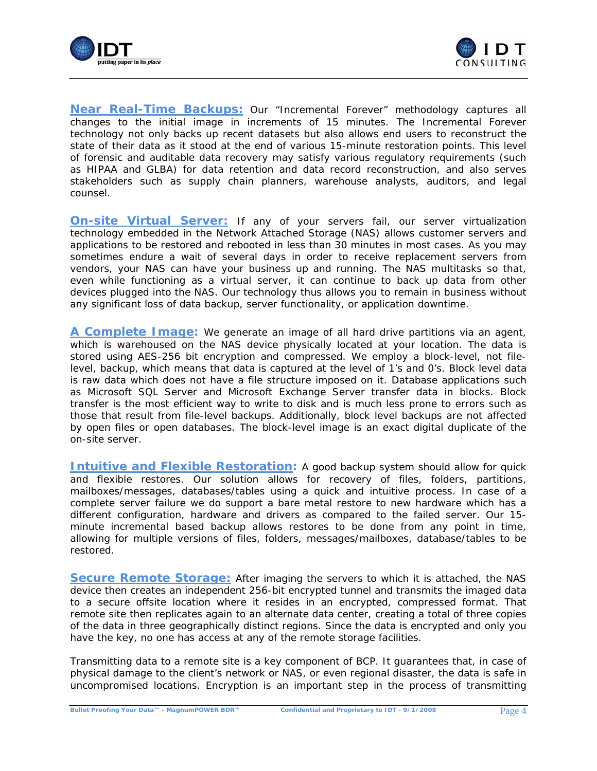



*Near Real-Time Backups:* Our "Incremental Forever" methodology captures all changes to the initial image in increments of 15 minutes. The Incremental Forever technology not only backs up recent datasets but also allows end users to reconstruct the state of their data as it stood at the end of various 15-minute restoration points. This level of forensic and auditable data recovery may satisfy various regulatory requirements (such as HIPAA and GLBA) for data retention and data record reconstruction, and also serves stakeholders such as supply chain planners, warehouse analysts, auditors, and legal counsel.

**On-site Virtual Server:** If any of your servers fail, our server virtualization technology embedded in the Network Attached Storage (NAS) allows customer servers and applications to be restored and rebooted in less than 30 minutes in most cases. As you may sometimes endure a wait of several days in order to receive replacement servers from vendors, your NAS can have your business up and running. The NAS multitasks so that, even while functioning as a virtual server, it can continue to back up data from other devices plugged into the NAS. Our technology thus allows you to remain in business without any significant loss of data backup, server functionality, or application downtime.

*A Complete Image:* We generate an image of all hard drive partitions via an agent, which is warehoused on the NAS device physically located at your location. The data is stored using AES-256 bit encryption and compressed. We employ a block-level, not filelevel, backup, which means that data is captured at the level of 1's and 0's. Block level data is raw data which does not have a file structure imposed on it. Database applications such as Microsoft SQL Server and Microsoft Exchange Server transfer data in blocks. Block transfer is the most efficient way to write to disk and is much less prone to errors such as those that result from file-level backups. Additionally, block level backups are not affected by open files or open databases. The block-level image is an exact digital duplicate of the on-site server.

**Intuitive and Flexible Restoration:** A good backup system should allow for quick and flexible restores. Our solution allows for recovery of files, folders, partitions, mailboxes/messages, databases/tables using a quick and intuitive process. In case of a complete server failure we do support a bare metal restore to new hardware which has a different configuration, hardware and drivers as compared to the failed server. Our 15 minute incremental based backup allows restores to be done from any point in time, allowing for multiple versions of files, folders, messages/mailboxes, database/tables to be restored.

**Secure Remote Storage:** After imaging the servers to which it is attached, the NAS device then creates an independent 256-bit encrypted tunnel and transmits the imaged data to a secure offsite location where it resides in an encrypted, compressed format. That remote site then replicates again to an alternate data center, creating a total of three copies of the data in three geographically distinct regions. Since the data is encrypted and only you have the key, no one has access at any of the remote storage facilities.

Transmitting data to a remote site is a key component of BCP. It guarantees that, in case of physical damage to the client's network or NAS, or even regional disaster, the data is safe in uncompromised locations. Encryption is an important step in the process of transmitting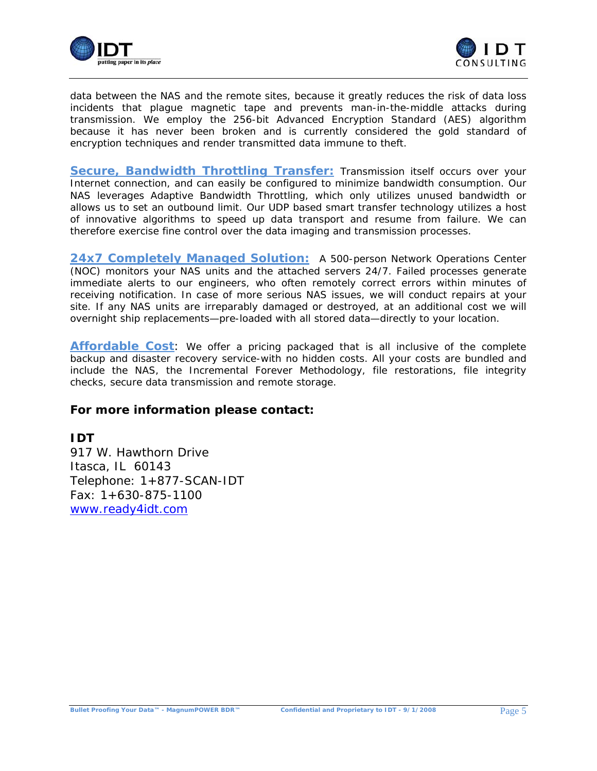



data between the NAS and the remote sites, because it greatly reduces the risk of data loss incidents that plague magnetic tape and prevents man-in-the-middle attacks during transmission. We employ the 256-bit Advanced Encryption Standard (AES) algorithm because it has never been broken and is currently considered the gold standard of encryption techniques and render transmitted data immune to theft.

**Secure, Bandwidth Throttling Transfer:** Transmission itself occurs over your Internet connection, and can easily be configured to minimize bandwidth consumption. Our NAS leverages Adaptive Bandwidth Throttling, which only utilizes unused bandwidth or allows us to set an outbound limit. Our UDP based smart transfer technology utilizes a host of innovative algorithms to speed up data transport and resume from failure. We can therefore exercise fine control over the data imaging and transmission processes.

24x7 Completely Managed Solution: A 500-person Network Operations Center (NOC) monitors your NAS units and the attached servers 24/7. Failed processes generate immediate alerts to *our engineers*, who often remotely correct errors within minutes of receiving notification. In case of more serious NAS issues, we will conduct repairs at your site. If any NAS units are irreparably damaged or destroyed, at an additional cost we will overnight ship replacements—pre-loaded with all stored data—directly to your location.

**Affordable Cost**: We offer a pricing packaged that is all inclusive of the complete backup and disaster recovery service-with no hidden costs. All your costs are bundled and include the NAS, the Incremental Forever Methodology, file restorations, file integrity checks, secure data transmission and remote storage.

# *For more information please contact:*

# **IDT**

917 W. Hawthorn Drive Itasca, IL 60143 Telephone: 1+877-SCAN-IDT Fax: 1+630-875-1100 www.*ready4idt.com*